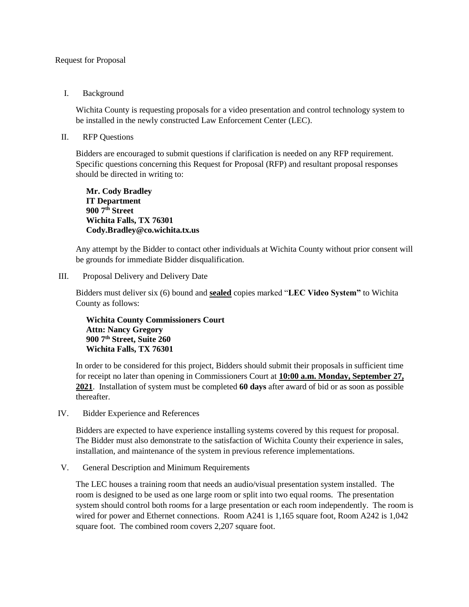## Request for Proposal

## I. Background

Wichita County is requesting proposals for a video presentation and control technology system to be installed in the newly constructed Law Enforcement Center (LEC).

## II. RFP Questions

Bidders are encouraged to submit questions if clarification is needed on any RFP requirement. Specific questions concerning this Request for Proposal (RFP) and resultant proposal responses should be directed in writing to:

**Mr. Cody Bradley IT Department 900 7th Street Wichita Falls, TX 76301 Cody.Bradley@co.wichita.tx.us**

Any attempt by the Bidder to contact other individuals at Wichita County without prior consent will be grounds for immediate Bidder disqualification.

III. Proposal Delivery and Delivery Date

Bidders must deliver six (6) bound and **sealed** copies marked "**LEC Video System"** to Wichita County as follows:

**Wichita County Commissioners Court Attn: Nancy Gregory 900 7th Street, Suite 260 Wichita Falls, TX 76301**

In order to be considered for this project, Bidders should submit their proposals in sufficient time for receipt no later than opening in Commissioners Court at **10:00 a.m. Monday, September 27, 2021**. Installation of system must be completed **60 days** after award of bid or as soon as possible thereafter.

IV. Bidder Experience and References

Bidders are expected to have experience installing systems covered by this request for proposal. The Bidder must also demonstrate to the satisfaction of Wichita County their experience in sales, installation, and maintenance of the system in previous reference implementations.

V. General Description and Minimum Requirements

The LEC houses a training room that needs an audio/visual presentation system installed. The room is designed to be used as one large room or split into two equal rooms. The presentation system should control both rooms for a large presentation or each room independently. The room is wired for power and Ethernet connections. Room A241 is 1,165 square foot, Room A242 is 1,042 square foot. The combined room covers 2,207 square foot.